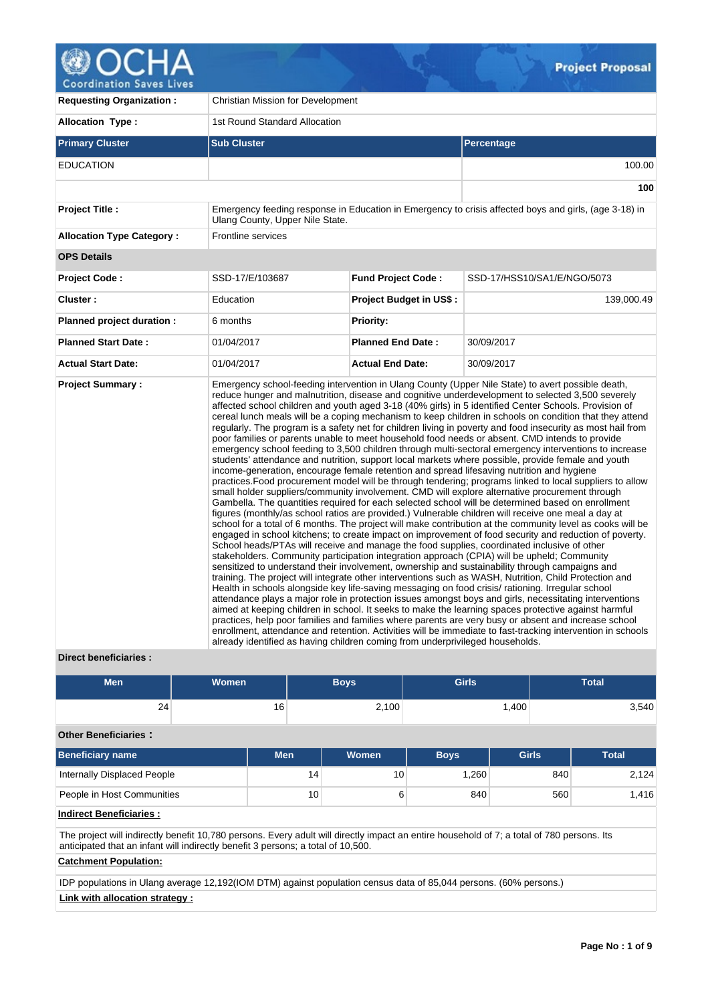

| <b>Requesting Organization:</b>  | <b>Christian Mission for Development</b>                                      |                           |                                                                                                                                                                                                                                                                                                                                                                                                                                                                                                                                                                                                                                                                                                                                                                                                                                                                                                                                                                                                                                                                                                                                                                                                                                                                                                                                                                                                                                                                                                                                                                                                                                                                                                                                                                                                                                                                                                                                                                                                                                                                                                                                                                                                                                                                                                                                                                                                                                                                                                                                                                   |  |  |  |  |  |
|----------------------------------|-------------------------------------------------------------------------------|---------------------------|-------------------------------------------------------------------------------------------------------------------------------------------------------------------------------------------------------------------------------------------------------------------------------------------------------------------------------------------------------------------------------------------------------------------------------------------------------------------------------------------------------------------------------------------------------------------------------------------------------------------------------------------------------------------------------------------------------------------------------------------------------------------------------------------------------------------------------------------------------------------------------------------------------------------------------------------------------------------------------------------------------------------------------------------------------------------------------------------------------------------------------------------------------------------------------------------------------------------------------------------------------------------------------------------------------------------------------------------------------------------------------------------------------------------------------------------------------------------------------------------------------------------------------------------------------------------------------------------------------------------------------------------------------------------------------------------------------------------------------------------------------------------------------------------------------------------------------------------------------------------------------------------------------------------------------------------------------------------------------------------------------------------------------------------------------------------------------------------------------------------------------------------------------------------------------------------------------------------------------------------------------------------------------------------------------------------------------------------------------------------------------------------------------------------------------------------------------------------------------------------------------------------------------------------------------------------|--|--|--|--|--|
| <b>Allocation Type:</b>          | 1st Round Standard Allocation                                                 |                           |                                                                                                                                                                                                                                                                                                                                                                                                                                                                                                                                                                                                                                                                                                                                                                                                                                                                                                                                                                                                                                                                                                                                                                                                                                                                                                                                                                                                                                                                                                                                                                                                                                                                                                                                                                                                                                                                                                                                                                                                                                                                                                                                                                                                                                                                                                                                                                                                                                                                                                                                                                   |  |  |  |  |  |
| <b>Primary Cluster</b>           | <b>Sub Cluster</b><br>Percentage                                              |                           |                                                                                                                                                                                                                                                                                                                                                                                                                                                                                                                                                                                                                                                                                                                                                                                                                                                                                                                                                                                                                                                                                                                                                                                                                                                                                                                                                                                                                                                                                                                                                                                                                                                                                                                                                                                                                                                                                                                                                                                                                                                                                                                                                                                                                                                                                                                                                                                                                                                                                                                                                                   |  |  |  |  |  |
| <b>EDUCATION</b>                 |                                                                               |                           | 100.00                                                                                                                                                                                                                                                                                                                                                                                                                                                                                                                                                                                                                                                                                                                                                                                                                                                                                                                                                                                                                                                                                                                                                                                                                                                                                                                                                                                                                                                                                                                                                                                                                                                                                                                                                                                                                                                                                                                                                                                                                                                                                                                                                                                                                                                                                                                                                                                                                                                                                                                                                            |  |  |  |  |  |
|                                  |                                                                               |                           | 100                                                                                                                                                                                                                                                                                                                                                                                                                                                                                                                                                                                                                                                                                                                                                                                                                                                                                                                                                                                                                                                                                                                                                                                                                                                                                                                                                                                                                                                                                                                                                                                                                                                                                                                                                                                                                                                                                                                                                                                                                                                                                                                                                                                                                                                                                                                                                                                                                                                                                                                                                               |  |  |  |  |  |
| <b>Project Title:</b>            | Ulang County, Upper Nile State.                                               |                           | Emergency feeding response in Education in Emergency to crisis affected boys and girls, (age 3-18) in                                                                                                                                                                                                                                                                                                                                                                                                                                                                                                                                                                                                                                                                                                                                                                                                                                                                                                                                                                                                                                                                                                                                                                                                                                                                                                                                                                                                                                                                                                                                                                                                                                                                                                                                                                                                                                                                                                                                                                                                                                                                                                                                                                                                                                                                                                                                                                                                                                                             |  |  |  |  |  |
| <b>Allocation Type Category:</b> | <b>Frontline services</b>                                                     |                           |                                                                                                                                                                                                                                                                                                                                                                                                                                                                                                                                                                                                                                                                                                                                                                                                                                                                                                                                                                                                                                                                                                                                                                                                                                                                                                                                                                                                                                                                                                                                                                                                                                                                                                                                                                                                                                                                                                                                                                                                                                                                                                                                                                                                                                                                                                                                                                                                                                                                                                                                                                   |  |  |  |  |  |
| <b>OPS Details</b>               |                                                                               |                           |                                                                                                                                                                                                                                                                                                                                                                                                                                                                                                                                                                                                                                                                                                                                                                                                                                                                                                                                                                                                                                                                                                                                                                                                                                                                                                                                                                                                                                                                                                                                                                                                                                                                                                                                                                                                                                                                                                                                                                                                                                                                                                                                                                                                                                                                                                                                                                                                                                                                                                                                                                   |  |  |  |  |  |
| <b>Project Code:</b>             | SSD-17/E/103687                                                               | <b>Fund Project Code:</b> | SSD-17/HSS10/SA1/E/NGO/5073                                                                                                                                                                                                                                                                                                                                                                                                                                                                                                                                                                                                                                                                                                                                                                                                                                                                                                                                                                                                                                                                                                                                                                                                                                                                                                                                                                                                                                                                                                                                                                                                                                                                                                                                                                                                                                                                                                                                                                                                                                                                                                                                                                                                                                                                                                                                                                                                                                                                                                                                       |  |  |  |  |  |
| Cluster:                         | Education                                                                     | Project Budget in US\$:   | 139,000.49                                                                                                                                                                                                                                                                                                                                                                                                                                                                                                                                                                                                                                                                                                                                                                                                                                                                                                                                                                                                                                                                                                                                                                                                                                                                                                                                                                                                                                                                                                                                                                                                                                                                                                                                                                                                                                                                                                                                                                                                                                                                                                                                                                                                                                                                                                                                                                                                                                                                                                                                                        |  |  |  |  |  |
| Planned project duration :       | 6 months                                                                      | <b>Priority:</b>          |                                                                                                                                                                                                                                                                                                                                                                                                                                                                                                                                                                                                                                                                                                                                                                                                                                                                                                                                                                                                                                                                                                                                                                                                                                                                                                                                                                                                                                                                                                                                                                                                                                                                                                                                                                                                                                                                                                                                                                                                                                                                                                                                                                                                                                                                                                                                                                                                                                                                                                                                                                   |  |  |  |  |  |
| <b>Planned Start Date:</b>       | 01/04/2017                                                                    | <b>Planned End Date:</b>  | 30/09/2017                                                                                                                                                                                                                                                                                                                                                                                                                                                                                                                                                                                                                                                                                                                                                                                                                                                                                                                                                                                                                                                                                                                                                                                                                                                                                                                                                                                                                                                                                                                                                                                                                                                                                                                                                                                                                                                                                                                                                                                                                                                                                                                                                                                                                                                                                                                                                                                                                                                                                                                                                        |  |  |  |  |  |
| <b>Actual Start Date:</b>        | 01/04/2017                                                                    | <b>Actual End Date:</b>   | 30/09/2017                                                                                                                                                                                                                                                                                                                                                                                                                                                                                                                                                                                                                                                                                                                                                                                                                                                                                                                                                                                                                                                                                                                                                                                                                                                                                                                                                                                                                                                                                                                                                                                                                                                                                                                                                                                                                                                                                                                                                                                                                                                                                                                                                                                                                                                                                                                                                                                                                                                                                                                                                        |  |  |  |  |  |
| <b>Project Summary:</b>          | already identified as having children coming from underprivileged households. |                           | Emergency school-feeding intervention in Ulang County (Upper Nile State) to avert possible death,<br>reduce hunger and malnutrition, disease and cognitive underdevelopment to selected 3,500 severely<br>affected school children and youth aged 3-18 (40% girls) in 5 identified Center Schools. Provision of<br>cereal lunch meals will be a coping mechanism to keep children in schools on condition that they attend<br>regularly. The program is a safety net for children living in poverty and food insecurity as most hail from<br>poor families or parents unable to meet household food needs or absent. CMD intends to provide<br>emergency school feeding to 3,500 children through multi-sectoral emergency interventions to increase<br>students' attendance and nutrition, support local markets where possible, provide female and youth<br>income-generation, encourage female retention and spread lifesaving nutrition and hygiene<br>practices. Food procurement model will be through tendering; programs linked to local suppliers to allow<br>small holder suppliers/community involvement. CMD will explore alternative procurement through<br>Gambella. The quantities required for each selected school will be determined based on enrollment<br>figures (monthly/as school ratios are provided.) Vulnerable children will receive one meal a day at<br>school for a total of 6 months. The project will make contribution at the community level as cooks will be<br>engaged in school kitchens; to create impact on improvement of food security and reduction of poverty.<br>School heads/PTAs will receive and manage the food supplies, coordinated inclusive of other<br>stakeholders. Community participation integration approach (CPIA) will be upheld; Community<br>sensitized to understand their involvement, ownership and sustainability through campaigns and<br>training. The project will integrate other interventions such as WASH, Nutrition, Child Protection and<br>Health in schools alongside key life-saving messaging on food crisis/ rationing. Irregular school<br>attendance plays a major role in protection issues amongst boys and girls, necessitating interventions<br>aimed at keeping children in school. It seeks to make the learning spaces protective against harmful<br>practices, help poor families and families where parents are very busy or absent and increase school<br>enrollment, attendance and retention. Activities will be immediate to fast-tracking intervention in schools |  |  |  |  |  |

## **Direct beneficiaries :**

| <b>Men</b> | Women <sup>1</sup> | <b>Boys</b> | <b>Girls</b> | <b>Total</b> |
|------------|--------------------|-------------|--------------|--------------|
| 24         | 16                 | 2,100       | .400         | 3,540        |

## **Other Beneficiaries :**

| <b>Beneficiary name</b>     | Men             | Women | <b>Boys</b> | <b>Girls</b> | Total |
|-----------------------------|-----------------|-------|-------------|--------------|-------|
| Internally Displaced People | 14              | 10    | .260        | 840          | 2,124 |
| People in Host Communities  | 10 <sub>1</sub> |       | 840         | 560          | .416  |

# **Indirect Beneficiaries :**

The project will indirectly benefit 10,780 persons. Every adult will directly impact an entire household of 7; a total of 780 persons. Its anticipated that an infant will indirectly benefit 3 persons; a total of 10,500.

## **Catchment Population:**

IDP populations in Ulang average 12,192(IOM DTM) against population census data of 85,044 persons. (60% persons.)

## **Link with allocation strategy :**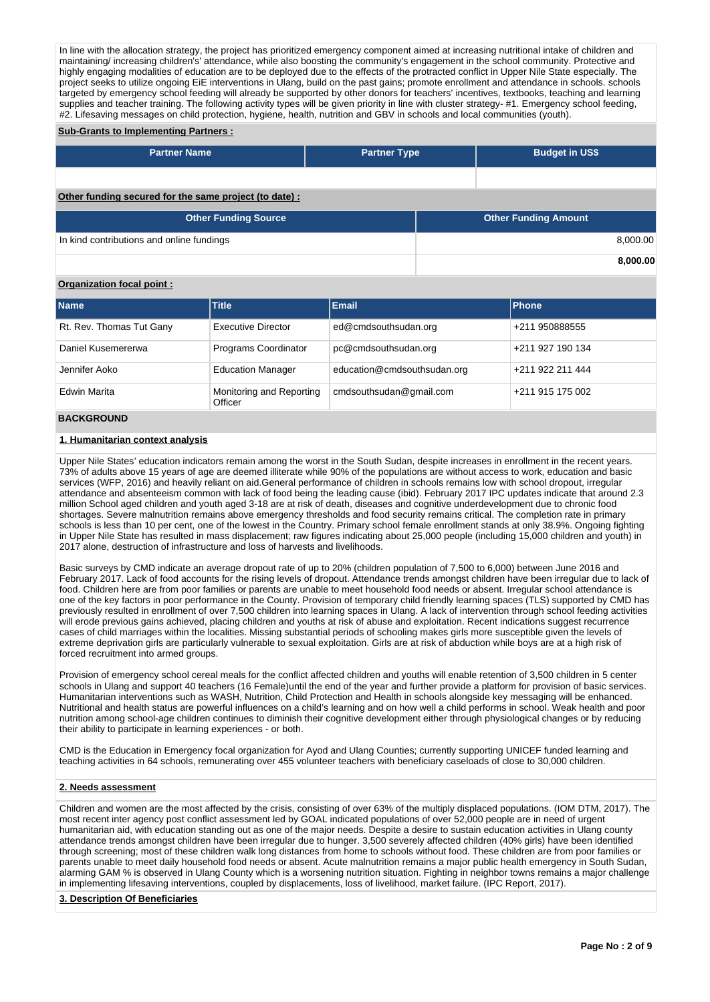In line with the allocation strategy, the project has prioritized emergency component aimed at increasing nutritional intake of children and maintaining/ increasing children's' attendance, while also boosting the community's engagement in the school community. Protective and highly engaging modalities of education are to be deployed due to the effects of the protracted conflict in Upper Nile State especially. The project seeks to utilize ongoing EiE interventions in Ulang, build on the past gains; promote enrollment and attendance in schools. schools targeted by emergency school feeding will already be supported by other donors for teachers' incentives, textbooks, teaching and learning supplies and teacher training. The following activity types will be given priority in line with cluster strategy- #1. Emergency school feeding, #2. Lifesaving messages on child protection, hygiene, health, nutrition and GBV in schools and local communities (youth).

## **Sub-Grants to Implementing Partners :**

| <b>Partner Name</b>                                   | <b>Partner Type</b> | <b>Budget in US\$</b>       |          |
|-------------------------------------------------------|---------------------|-----------------------------|----------|
|                                                       |                     |                             |          |
| Other funding secured for the same project (to date): |                     |                             |          |
| <b>Other Funding Source</b>                           |                     | <b>Other Funding Amount</b> |          |
| In kind contributions and online fundings             |                     |                             | 8,000.00 |
|                                                       |                     |                             | 8.000.00 |

### **Organization focal point :**

| <b>Name</b>              | <b>Title</b>                        | Email                       | Phone            |
|--------------------------|-------------------------------------|-----------------------------|------------------|
| Rt. Rev. Thomas Tut Gany | Executive Director                  | ed@cmdsouthsudan.org        | +211 950888555   |
| Daniel Kusemererwa       | Programs Coordinator                | pc@cmdsouthsudan.org        | +211 927 190 134 |
| Jennifer Aoko            | <b>Education Manager</b>            | education@cmdsouthsudan.org | +211 922 211 444 |
| Edwin Marita             | Monitoring and Reporting<br>Officer | cmdsouthsudan@gmail.com     | +211 915 175 002 |

### **BACKGROUND**

#### **1. Humanitarian context analysis**

Upper Nile States' education indicators remain among the worst in the South Sudan, despite increases in enrollment in the recent years. 73% of adults above 15 years of age are deemed illiterate while 90% of the populations are without access to work, education and basic services (WFP, 2016) and heavily reliant on aid.General performance of children in schools remains low with school dropout, irregular attendance and absenteeism common with lack of food being the leading cause (ibid). February 2017 IPC updates indicate that around 2.3 million School aged children and youth aged 3-18 are at risk of death, diseases and cognitive underdevelopment due to chronic food shortages. Severe malnutrition remains above emergency thresholds and food security remains critical. The completion rate in primary schools is less than 10 per cent, one of the lowest in the Country. Primary school female enrollment stands at only 38.9%. Ongoing fighting in Upper Nile State has resulted in mass displacement; raw figures indicating about 25,000 people (including 15,000 children and youth) in 2017 alone, destruction of infrastructure and loss of harvests and livelihoods.

Basic surveys by CMD indicate an average dropout rate of up to 20% (children population of 7,500 to 6,000) between June 2016 and February 2017. Lack of food accounts for the rising levels of dropout. Attendance trends amongst children have been irregular due to lack of food. Children here are from poor families or parents are unable to meet household food needs or absent. Irregular school attendance is one of the key factors in poor performance in the County. Provision of temporary child friendly learning spaces (TLS) supported by CMD has previously resulted in enrollment of over 7,500 children into learning spaces in Ulang. A lack of intervention through school feeding activities will erode previous gains achieved, placing children and youths at risk of abuse and exploitation. Recent indications suggest recurrence cases of child marriages within the localities. Missing substantial periods of schooling makes girls more susceptible given the levels of extreme deprivation girls are particularly vulnerable to sexual exploitation. Girls are at risk of abduction while boys are at a high risk of forced recruitment into armed groups.

Provision of emergency school cereal meals for the conflict affected children and youths will enable retention of 3,500 children in 5 center schools in Ulang and support 40 teachers (16 Female)until the end of the year and further provide a platform for provision of basic services. Humanitarian interventions such as WASH, Nutrition, Child Protection and Health in schools alongside key messaging will be enhanced. Nutritional and health status are powerful influences on a child's learning and on how well a child performs in school. Weak health and poor nutrition among school-age children continues to diminish their cognitive development either through physiological changes or by reducing their ability to participate in learning experiences - or both.

CMD is the Education in Emergency focal organization for Ayod and Ulang Counties; currently supporting UNICEF funded learning and teaching activities in 64 schools, remunerating over 455 volunteer teachers with beneficiary caseloads of close to 30,000 children.

#### **2. Needs assessment**

Children and women are the most affected by the crisis, consisting of over 63% of the multiply displaced populations. (IOM DTM, 2017). The most recent inter agency post conflict assessment led by GOAL indicated populations of over 52,000 people are in need of urgent humanitarian aid, with education standing out as one of the major needs. Despite a desire to sustain education activities in Ulang county attendance trends amongst children have been irregular due to hunger. 3,500 severely affected children (40% girls) have been identified through screening; most of these children walk long distances from home to schools without food. These children are from poor families or parents unable to meet daily household food needs or absent. Acute malnutrition remains a major public health emergency in South Sudan, alarming GAM % is observed in Ulang County which is a worsening nutrition situation. Fighting in neighbor towns remains a major challenge in implementing lifesaving interventions, coupled by displacements, loss of livelihood, market failure. (IPC Report, 2017).

#### **3. Description Of Beneficiaries**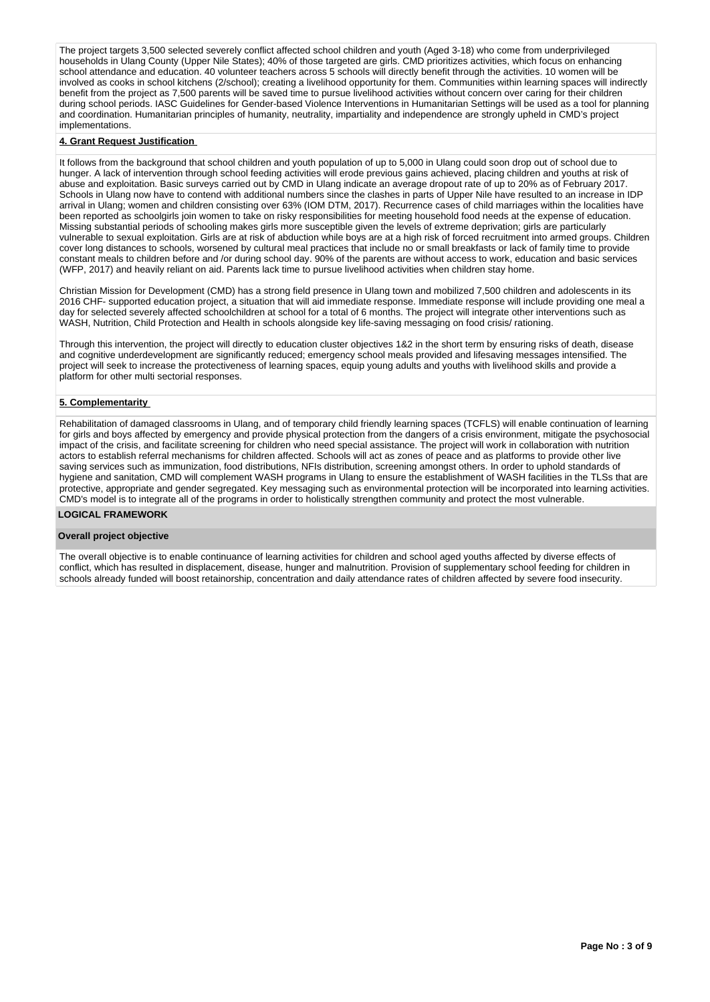The project targets 3,500 selected severely conflict affected school children and youth (Aged 3-18) who come from underprivileged households in Ulang County (Upper Nile States); 40% of those targeted are girls. CMD prioritizes activities, which focus on enhancing school attendance and education. 40 volunteer teachers across 5 schools will directly benefit through the activities. 10 women will be involved as cooks in school kitchens (2/school); creating a livelihood opportunity for them. Communities within learning spaces will indirectly benefit from the project as 7,500 parents will be saved time to pursue livelihood activities without concern over caring for their children during school periods. IASC Guidelines for Gender-based Violence Interventions in Humanitarian Settings will be used as a tool for planning and coordination. Humanitarian principles of humanity, neutrality, impartiality and independence are strongly upheld in CMD's project implementations.

### **4. Grant Request Justification**

It follows from the background that school children and youth population of up to 5,000 in Ulang could soon drop out of school due to hunger. A lack of intervention through school feeding activities will erode previous gains achieved, placing children and youths at risk of abuse and exploitation. Basic surveys carried out by CMD in Ulang indicate an average dropout rate of up to 20% as of February 2017. Schools in Ulang now have to contend with additional numbers since the clashes in parts of Upper Nile have resulted to an increase in IDP arrival in Ulang; women and children consisting over 63% (IOM DTM, 2017). Recurrence cases of child marriages within the localities have been reported as schoolgirls join women to take on risky responsibilities for meeting household food needs at the expense of education. Missing substantial periods of schooling makes girls more susceptible given the levels of extreme deprivation; girls are particularly vulnerable to sexual exploitation. Girls are at risk of abduction while boys are at a high risk of forced recruitment into armed groups. Children cover long distances to schools, worsened by cultural meal practices that include no or small breakfasts or lack of family time to provide constant meals to children before and /or during school day. 90% of the parents are without access to work, education and basic services (WFP, 2017) and heavily reliant on aid. Parents lack time to pursue livelihood activities when children stay home.

Christian Mission for Development (CMD) has a strong field presence in Ulang town and mobilized 7,500 children and adolescents in its 2016 CHF- supported education project, a situation that will aid immediate response. Immediate response will include providing one meal a day for selected severely affected schoolchildren at school for a total of 6 months. The project will integrate other interventions such as WASH, Nutrition, Child Protection and Health in schools alongside key life-saving messaging on food crisis/ rationing.

Through this intervention, the project will directly to education cluster objectives 1&2 in the short term by ensuring risks of death, disease and cognitive underdevelopment are significantly reduced; emergency school meals provided and lifesaving messages intensified. The project will seek to increase the protectiveness of learning spaces, equip young adults and youths with livelihood skills and provide a platform for other multi sectorial responses.

#### **5. Complementarity**

Rehabilitation of damaged classrooms in Ulang, and of temporary child friendly learning spaces (TCFLS) will enable continuation of learning for girls and boys affected by emergency and provide physical protection from the dangers of a crisis environment, mitigate the psychosocial impact of the crisis, and facilitate screening for children who need special assistance. The project will work in collaboration with nutrition actors to establish referral mechanisms for children affected. Schools will act as zones of peace and as platforms to provide other live saving services such as immunization, food distributions, NFIs distribution, screening amongst others. In order to uphold standards of hygiene and sanitation, CMD will complement WASH programs in Ulang to ensure the establishment of WASH facilities in the TLSs that are protective, appropriate and gender segregated. Key messaging such as environmental protection will be incorporated into learning activities. CMD's model is to integrate all of the programs in order to holistically strengthen community and protect the most vulnerable.

#### **LOGICAL FRAMEWORK**

#### **Overall project objective**

The overall objective is to enable continuance of learning activities for children and school aged youths affected by diverse effects of conflict, which has resulted in displacement, disease, hunger and malnutrition. Provision of supplementary school feeding for children in schools already funded will boost retainorship, concentration and daily attendance rates of children affected by severe food insecurity.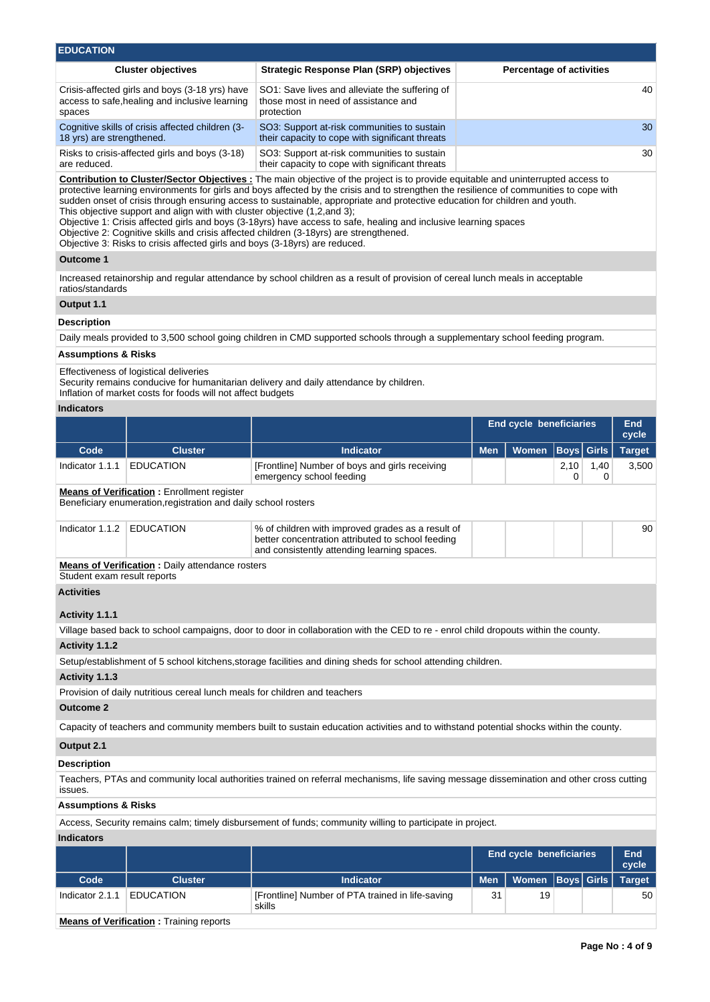| <b>EDUCATION</b>                                                                                           |                                                                                                      |                                 |
|------------------------------------------------------------------------------------------------------------|------------------------------------------------------------------------------------------------------|---------------------------------|
| <b>Cluster objectives</b>                                                                                  | <b>Strategic Response Plan (SRP) objectives</b>                                                      | <b>Percentage of activities</b> |
| Crisis-affected girls and boys (3-18 yrs) have<br>access to safe, healing and inclusive learning<br>spaces | SO1: Save lives and alleviate the suffering of<br>those most in need of assistance and<br>protection | 40                              |
| Cognitive skills of crisis affected children (3-<br>18 yrs) are strengthened.                              | SO3: Support at-risk communities to sustain<br>their capacity to cope with significant threats       | 30                              |
| Risks to crisis-affected girls and boys (3-18)<br>are reduced.                                             | SO3: Support at-risk communities to sustain<br>their capacity to cope with significant threats       | 30                              |
|                                                                                                            |                                                                                                      |                                 |

**Contribution to Cluster/Sector Objectives :** The main objective of the project is to provide equitable and uninterrupted access to protective learning environments for girls and boys affected by the crisis and to strengthen the resilience of communities to cope with sudden onset of crisis through ensuring access to sustainable, appropriate and protective education for children and youth. This objective support and align with with cluster objective (1,2,and 3);

Objective 1: Crisis affected girls and boys (3-18yrs) have access to safe, healing and inclusive learning spaces

Objective 2: Cognitive skills and crisis affected children (3-18yrs) are strengthened.

Objective 3: Risks to crisis affected girls and boys (3-18yrs) are reduced.

## **Outcome 1**

Increased retainorship and regular attendance by school children as a result of provision of cereal lunch meals in acceptable ratios/standards

## **Output 1.1**

## **Description**

Daily meals provided to 3,500 school going children in CMD supported schools through a supplementary school feeding program.

## **Assumptions & Risks**

Effectiveness of logistical deliveries

Security remains conducive for humanitarian delivery and daily attendance by children.

Inflation of market costs for foods will not affect budgets

#### **Indicators**

|                                                                                                                     |                                                                            |                                                                                                                                                       | <b>End cycle beneficiaries</b> |                                |                   |                  | <b>End</b><br>cycle |  |
|---------------------------------------------------------------------------------------------------------------------|----------------------------------------------------------------------------|-------------------------------------------------------------------------------------------------------------------------------------------------------|--------------------------------|--------------------------------|-------------------|------------------|---------------------|--|
| Code                                                                                                                | <b>Cluster</b>                                                             | <b>Indicator</b>                                                                                                                                      | <b>Men</b>                     | Women                          | <b>Boys</b> Girls |                  | <b>Target</b>       |  |
| Indicator 1.1.1                                                                                                     | <b>EDUCATION</b>                                                           | [Frontline] Number of boys and girls receiving<br>emergency school feeding                                                                            |                                |                                | 2,10<br>$\Omega$  | 1,40<br>$\Omega$ | 3,500               |  |
| <b>Means of Verification:</b> Enrollment register<br>Beneficiary enumeration, registration and daily school rosters |                                                                            |                                                                                                                                                       |                                |                                |                   |                  |                     |  |
| Indicator 1.1.2                                                                                                     | <b>EDUCATION</b>                                                           | % of children with improved grades as a result of<br>better concentration attributed to school feeding<br>and consistently attending learning spaces. |                                |                                |                   |                  | 90                  |  |
| Student exam result reports                                                                                         | <b>Means of Verification : Daily attendance rosters</b>                    |                                                                                                                                                       |                                |                                |                   |                  |                     |  |
| <b>Activities</b>                                                                                                   |                                                                            |                                                                                                                                                       |                                |                                |                   |                  |                     |  |
| Activity 1.1.1                                                                                                      |                                                                            |                                                                                                                                                       |                                |                                |                   |                  |                     |  |
|                                                                                                                     |                                                                            | Village based back to school campaigns, door to door in collaboration with the CED to re - enrol child dropouts within the county.                    |                                |                                |                   |                  |                     |  |
| Activity 1.1.2                                                                                                      |                                                                            |                                                                                                                                                       |                                |                                |                   |                  |                     |  |
|                                                                                                                     |                                                                            | Setup/establishment of 5 school kitchens, storage facilities and dining sheds for school attending children.                                          |                                |                                |                   |                  |                     |  |
| Activity 1.1.3                                                                                                      |                                                                            |                                                                                                                                                       |                                |                                |                   |                  |                     |  |
|                                                                                                                     | Provision of daily nutritious cereal lunch meals for children and teachers |                                                                                                                                                       |                                |                                |                   |                  |                     |  |
| <b>Outcome 2</b>                                                                                                    |                                                                            |                                                                                                                                                       |                                |                                |                   |                  |                     |  |
|                                                                                                                     |                                                                            | Capacity of teachers and community members built to sustain education activities and to withstand potential shocks within the county.                 |                                |                                |                   |                  |                     |  |
| Output 2.1                                                                                                          |                                                                            |                                                                                                                                                       |                                |                                |                   |                  |                     |  |
| <b>Description</b>                                                                                                  |                                                                            |                                                                                                                                                       |                                |                                |                   |                  |                     |  |
| issues.                                                                                                             |                                                                            | Teachers, PTAs and community local authorities trained on referral mechanisms, life saving message dissemination and other cross cutting              |                                |                                |                   |                  |                     |  |
| <b>Assumptions &amp; Risks</b>                                                                                      |                                                                            |                                                                                                                                                       |                                |                                |                   |                  |                     |  |
|                                                                                                                     |                                                                            | Access, Security remains calm; timely disbursement of funds; community willing to participate in project.                                             |                                |                                |                   |                  |                     |  |
| <b>Indicators</b>                                                                                                   |                                                                            |                                                                                                                                                       |                                |                                |                   |                  |                     |  |
|                                                                                                                     |                                                                            |                                                                                                                                                       |                                | <b>End cycle beneficiaries</b> |                   |                  | End<br>cycle        |  |

|                   |                  |                                                            | End cycle beneficiaries | <b>End</b><br>cycle     |  |  |    |
|-------------------|------------------|------------------------------------------------------------|-------------------------|-------------------------|--|--|----|
| Code <sup>1</sup> | <b>Cluster</b>   | <b>Indicator</b>                                           | <b>Men</b>              | Women Boys Girls Target |  |  |    |
| Indicator 2.1.1   | <b>EDUCATION</b> | [Frontline] Number of PTA trained in life-saving<br>skills | 31<br>19                |                         |  |  | 50 |
|                   |                  |                                                            |                         |                         |  |  |    |

**Means of Verification : Training reports**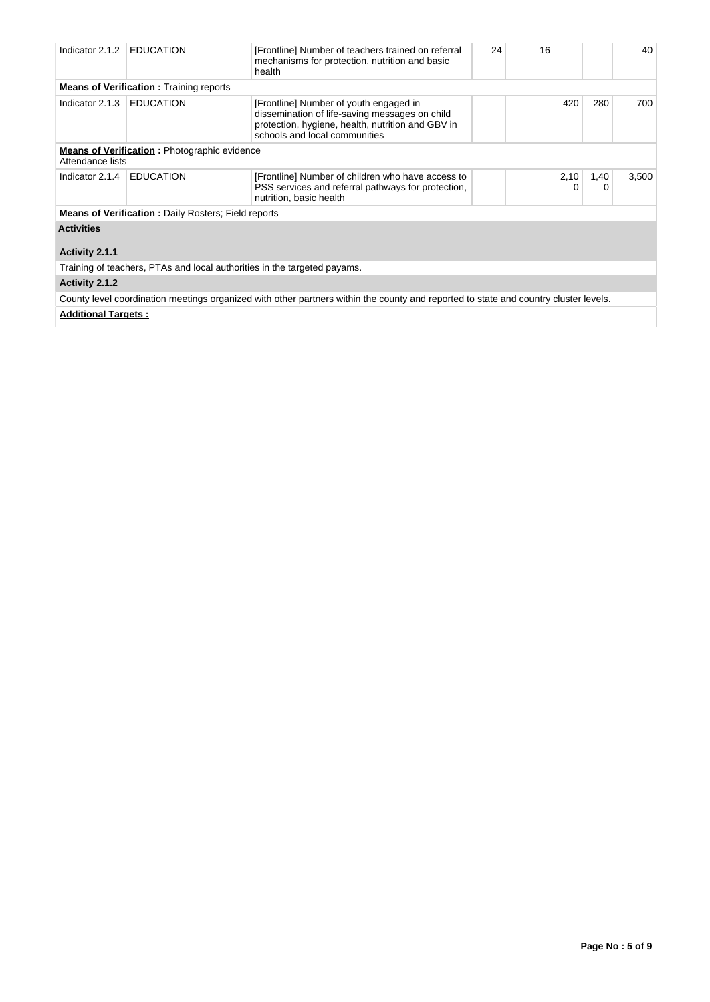| Indicator 2.1.2            | <b>EDUCATION</b>                                                         | 24<br>16<br>[Frontline] Number of teachers trained on referral<br>mechanisms for protection, nutrition and basic<br>health                                                     |  |  |           |           |       |
|----------------------------|--------------------------------------------------------------------------|--------------------------------------------------------------------------------------------------------------------------------------------------------------------------------|--|--|-----------|-----------|-------|
|                            | <b>Means of Verification: Training reports</b>                           |                                                                                                                                                                                |  |  |           |           |       |
| Indicator 2.1.3            | <b>EDUCATION</b>                                                         | [Frontline] Number of youth engaged in<br>dissemination of life-saving messages on child<br>protection, hygiene, health, nutrition and GBV in<br>schools and local communities |  |  | 420       | 280       | 700   |
| Attendance lists           | <b>Means of Verification:</b> Photographic evidence                      |                                                                                                                                                                                |  |  |           |           |       |
| Indicator 2.1.4            | <b>EDUCATION</b>                                                         | [Frontline] Number of children who have access to<br>PSS services and referral pathways for protection,<br>nutrition, basic health                                             |  |  | 2,10<br>0 | 1,40<br>0 | 3,500 |
|                            | <b>Means of Verification:</b> Daily Rosters; Field reports               |                                                                                                                                                                                |  |  |           |           |       |
| <b>Activities</b>          |                                                                          |                                                                                                                                                                                |  |  |           |           |       |
| Activity 2.1.1             |                                                                          |                                                                                                                                                                                |  |  |           |           |       |
|                            | Training of teachers, PTAs and local authorities in the targeted payams. |                                                                                                                                                                                |  |  |           |           |       |
| Activity 2.1.2             |                                                                          |                                                                                                                                                                                |  |  |           |           |       |
|                            |                                                                          | County level coordination meetings organized with other partners within the county and reported to state and country cluster levels.                                           |  |  |           |           |       |
| <b>Additional Targets:</b> |                                                                          |                                                                                                                                                                                |  |  |           |           |       |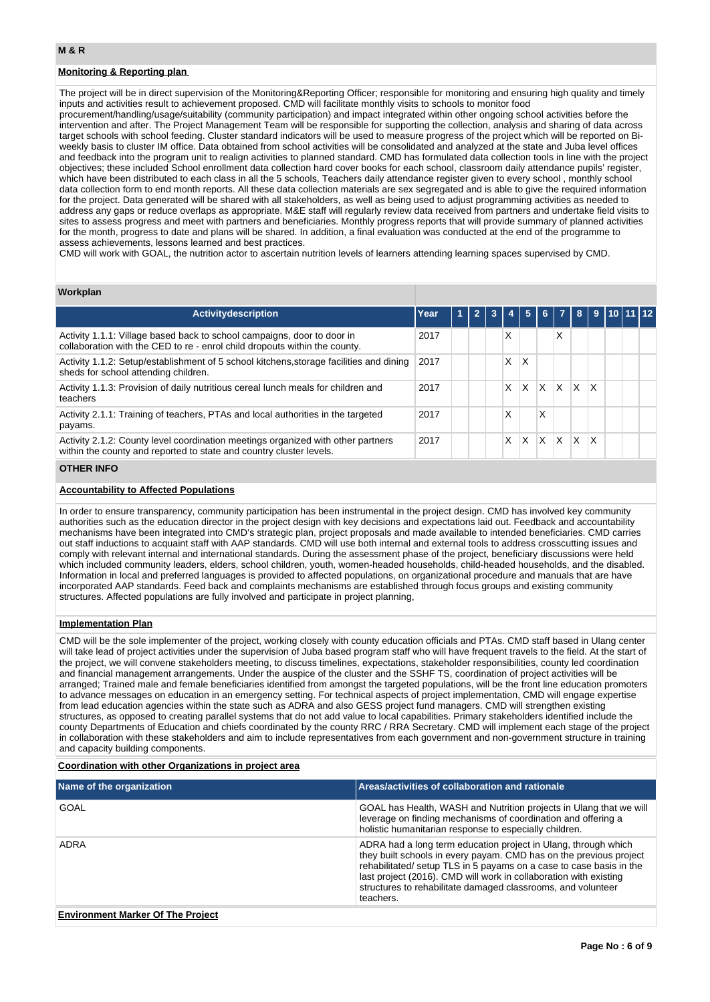## **Monitoring & Reporting plan**

The project will be in direct supervision of the Monitoring&Reporting Officer; responsible for monitoring and ensuring high quality and timely inputs and activities result to achievement proposed. CMD will facilitate monthly visits to schools to monitor food procurement/handling/usage/suitability (community participation) and impact integrated within other ongoing school activities before the intervention and after. The Project Management Team will be responsible for supporting the collection, analysis and sharing of data across target schools with school feeding. Cluster standard indicators will be used to measure progress of the project which will be reported on Biweekly basis to cluster IM office. Data obtained from school activities will be consolidated and analyzed at the state and Juba level offices and feedback into the program unit to realign activities to planned standard. CMD has formulated data collection tools in line with the project objectives; these included School enrollment data collection hard cover books for each school, classroom daily attendance pupils' register, which have been distributed to each class in all the 5 schools, Teachers daily attendance register given to every school , monthly school data collection form to end month reports. All these data collection materials are sex segregated and is able to give the required information for the project. Data generated will be shared with all stakeholders, as well as being used to adjust programming activities as needed to address any gaps or reduce overlaps as appropriate. M&E staff will regularly review data received from partners and undertake field visits to sites to assess progress and meet with partners and beneficiaries. Monthly progress reports that will provide summary of planned activities for the month, progress to date and plans will be shared. In addition, a final evaluation was conducted at the end of the programme to assess achievements, lessons learned and best practices.

CMD will work with GOAL, the nutrition actor to ascertain nutrition levels of learners attending learning spaces supervised by CMD.

## **Workplan**

| <b>Activitydescription</b>                                                                                                                              | Year | 1 | $\overline{2}$ | -3 |   | 5 |              | $6 \mid 7$ | 8        |              | $9$ 10 11 12 |  |
|---------------------------------------------------------------------------------------------------------------------------------------------------------|------|---|----------------|----|---|---|--------------|------------|----------|--------------|--------------|--|
| Activity 1.1.1: Village based back to school campaigns, door to door in<br>collaboration with the CED to re - enrol child dropouts within the county.   | 2017 |   |                |    | X |   |              | Χ          |          |              |              |  |
| Activity 1.1.2: Setup/establishment of 5 school kitchens, storage facilities and dining<br>sheds for school attending children.                         | 2017 |   |                |    | Χ | Χ |              |            |          |              |              |  |
| Activity 1.1.3: Provision of daily nutritious cereal lunch meals for children and<br>teachers                                                           | 2017 |   |                |    | x | X | $\mathsf{x}$ | <b>X</b>   | X.       | $\mathsf{x}$ |              |  |
| Activity 2.1.1: Training of teachers, PTAs and local authorities in the targeted<br>payams.                                                             | 2017 |   |                |    | X |   | X            |            |          |              |              |  |
| Activity 2.1.2: County level coordination meetings organized with other partners<br>within the county and reported to state and country cluster levels. | 2017 |   |                |    | x | X | X            | X          | $\times$ | $\mathsf{x}$ |              |  |

## **OTHER INFO**

## **Accountability to Affected Populations**

In order to ensure transparency, community participation has been instrumental in the project design. CMD has involved key community authorities such as the education director in the project design with key decisions and expectations laid out. Feedback and accountability mechanisms have been integrated into CMD's strategic plan, project proposals and made available to intended beneficiaries. CMD carries out staff inductions to acquaint staff with AAP standards. CMD will use both internal and external tools to address crosscutting issues and comply with relevant internal and international standards. During the assessment phase of the project, beneficiary discussions were held which included community leaders, elders, school children, youth, women-headed households, child-headed households, and the disabled. Information in local and preferred languages is provided to affected populations, on organizational procedure and manuals that are have incorporated AAP standards. Feed back and complaints mechanisms are established through focus groups and existing community structures. Affected populations are fully involved and participate in project planning,

#### **Implementation Plan**

CMD will be the sole implementer of the project, working closely with county education officials and PTAs. CMD staff based in Ulang center will take lead of project activities under the supervision of Juba based program staff who will have frequent travels to the field. At the start of the project, we will convene stakeholders meeting, to discuss timelines, expectations, stakeholder responsibilities, county led coordination and financial management arrangements. Under the auspice of the cluster and the SSHF TS, coordination of project activities will be arranged; Trained male and female beneficiaries identified from amongst the targeted populations, will be the front line education promoters to advance messages on education in an emergency setting. For technical aspects of project implementation, CMD will engage expertise from lead education agencies within the state such as ADRA and also GESS project fund managers. CMD will strengthen existing structures, as opposed to creating parallel systems that do not add value to local capabilities. Primary stakeholders identified include the county Departments of Education and chiefs coordinated by the county RRC / RRA Secretary. CMD will implement each stage of the project in collaboration with these stakeholders and aim to include representatives from each government and non-government structure in training and capacity building components.

### **Coordination with other Organizations in project area**

| Name of the organization                 | Areas/activities of collaboration and rationale                                                                                                                                                                                                                                                                                                               |
|------------------------------------------|---------------------------------------------------------------------------------------------------------------------------------------------------------------------------------------------------------------------------------------------------------------------------------------------------------------------------------------------------------------|
| <b>GOAL</b>                              | GOAL has Health, WASH and Nutrition projects in Ulang that we will<br>leverage on finding mechanisms of coordination and offering a<br>holistic humanitarian response to especially children.                                                                                                                                                                 |
| <b>ADRA</b>                              | ADRA had a long term education project in Ulang, through which<br>they built schools in every payam. CMD has on the previous project<br>rehabilitated/ setup TLS in 5 payams on a case to case basis in the<br>last project (2016). CMD will work in collaboration with existing<br>structures to rehabilitate damaged classrooms, and volunteer<br>teachers. |
| <b>Environment Marker Of The Project</b> |                                                                                                                                                                                                                                                                                                                                                               |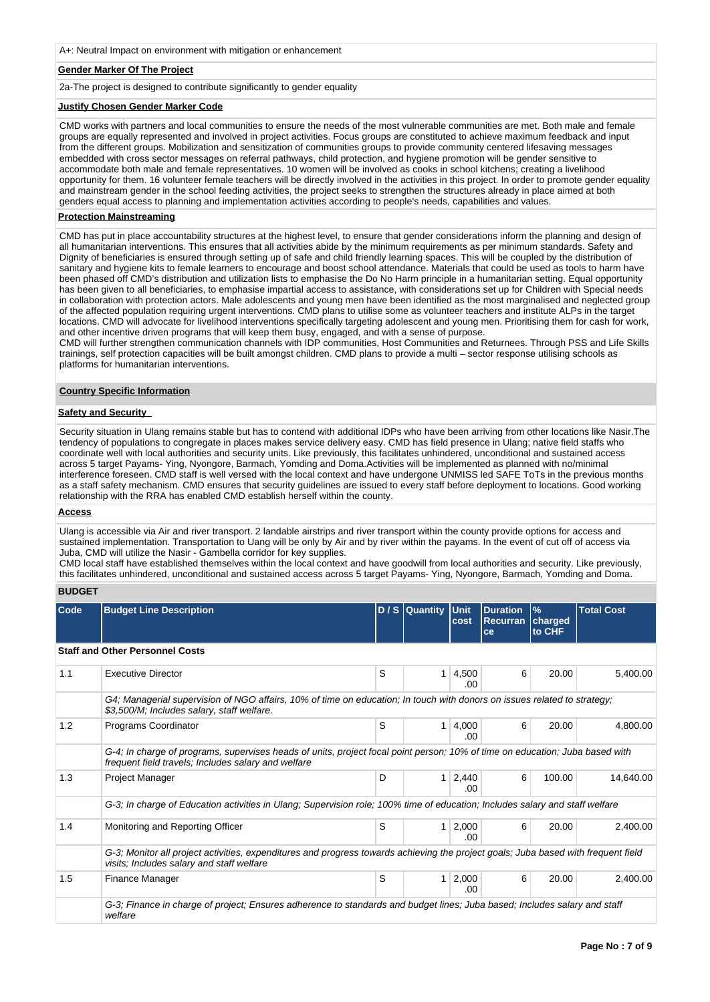#### **Gender Marker Of The Project**

2a-The project is designed to contribute significantly to gender equality

#### **Justify Chosen Gender Marker Code**

CMD works with partners and local communities to ensure the needs of the most vulnerable communities are met. Both male and female groups are equally represented and involved in project activities. Focus groups are constituted to achieve maximum feedback and input from the different groups. Mobilization and sensitization of communities groups to provide community centered lifesaving messages embedded with cross sector messages on referral pathways, child protection, and hygiene promotion will be gender sensitive to accommodate both male and female representatives. 10 women will be involved as cooks in school kitchens; creating a livelihood opportunity for them. 16 volunteer female teachers will be directly involved in the activities in this project. In order to promote gender equality and mainstream gender in the school feeding activities, the project seeks to strengthen the structures already in place aimed at both genders equal access to planning and implementation activities according to people's needs, capabilities and values.

## **Protection Mainstreaming**

CMD has put in place accountability structures at the highest level, to ensure that gender considerations inform the planning and design of all humanitarian interventions. This ensures that all activities abide by the minimum requirements as per minimum standards. Safety and Dignity of beneficiaries is ensured through setting up of safe and child friendly learning spaces. This will be coupled by the distribution of sanitary and hygiene kits to female learners to encourage and boost school attendance. Materials that could be used as tools to harm have been phased off CMD's distribution and utilization lists to emphasise the Do No Harm principle in a humanitarian setting. Equal opportunity has been given to all beneficiaries, to emphasise impartial access to assistance, with considerations set up for Children with Special needs in collaboration with protection actors. Male adolescents and young men have been identified as the most marginalised and neglected group of the affected population requiring urgent interventions. CMD plans to utilise some as volunteer teachers and institute ALPs in the target locations. CMD will advocate for livelihood interventions specifically targeting adolescent and young men. Prioritising them for cash for work, and other incentive driven programs that will keep them busy, engaged, and with a sense of purpose.

CMD will further strengthen communication channels with IDP communities, Host Communities and Returnees. Through PSS and Life Skills trainings, self protection capacities will be built amongst children. CMD plans to provide a multi – sector response utilising schools as platforms for humanitarian interventions.

### **Country Specific Information**

## **Safety and Security**

Security situation in Ulang remains stable but has to contend with additional IDPs who have been arriving from other locations like Nasir.The tendency of populations to congregate in places makes service delivery easy. CMD has field presence in Ulang; native field staffs who coordinate well with local authorities and security units. Like previously, this facilitates unhindered, unconditional and sustained access across 5 target Payams- Ying, Nyongore, Barmach, Yomding and Doma.Activities will be implemented as planned with no/minimal interference foreseen. CMD staff is well versed with the local context and have undergone UNMISS led SAFE ToTs in the previous months as a staff safety mechanism. CMD ensures that security guidelines are issued to every staff before deployment to locations. Good working relationship with the RRA has enabled CMD establish herself within the county.

### **Access**

Ulang is accessible via Air and river transport. 2 landable airstrips and river transport within the county provide options for access and sustained implementation. Transportation to Uang will be only by Air and by river within the payams. In the event of cut off of access via Juba, CMD will utilize the Nasir - Gambella corridor for key supplies.

CMD local staff have established themselves within the local context and have goodwill from local authorities and security. Like previously, this facilitates unhindered, unconditional and sustained access across 5 target Payams- Ying, Nyongore, Barmach, Yomding and Doma.

## **BUDGET**

| Code | <b>Budget Line Description</b>                                                                                                                                                      |   | D / S Quantity Unit | cost                           | <b>Duration</b><br><b>Recurran</b><br>ce | $\frac{9}{6}$<br>charged<br>to CHF | <b>Total Cost</b> |
|------|-------------------------------------------------------------------------------------------------------------------------------------------------------------------------------------|---|---------------------|--------------------------------|------------------------------------------|------------------------------------|-------------------|
|      | <b>Staff and Other Personnel Costs</b>                                                                                                                                              |   |                     |                                |                                          |                                    |                   |
| 1.1  | <b>Executive Director</b>                                                                                                                                                           | S | 1 <sup>1</sup>      | 4,500<br>.00.                  | 6                                        | 20.00                              | 5,400.00          |
|      | G4; Managerial supervision of NGO affairs, 10% of time on education; In touch with donors on issues related to strategy;<br>\$3,500/M; Includes salary, staff welfare.              |   |                     |                                |                                          |                                    |                   |
| 1.2  | Programs Coordinator                                                                                                                                                                | S |                     | $1 \mid 4,000 \mid$<br>.00.    | 6                                        | 20.00                              | 4,800.00          |
|      | G-4; In charge of programs, supervises heads of units, project focal point person; 10% of time on education; Juba based with<br>frequent field travels; Includes salary and welfare |   |                     |                                |                                          |                                    |                   |
| 1.3  | Project Manager                                                                                                                                                                     | D |                     | $1 \mid 2,440$<br>.00.         | 6                                        | 100.00                             | 14,640.00         |
|      | G-3; In charge of Education activities in Ulang; Supervision role; 100% time of education; Includes salary and staff welfare                                                        |   |                     |                                |                                          |                                    |                   |
| 1.4  | Monitoring and Reporting Officer                                                                                                                                                    | S |                     | $1 \,   \, 2,000 \,  $<br>.00. | 6                                        | 20.00                              | 2,400.00          |
|      | G-3; Monitor all project activities, expenditures and progress towards achieving the project goals; Juba based with frequent field<br>visits; Includes salary and staff welfare     |   |                     |                                |                                          |                                    |                   |
| 1.5  | Finance Manager                                                                                                                                                                     | S | 1 <sup>1</sup>      | 2,000<br>.00.                  | 6                                        | 20.00                              | 2,400.00          |
|      | G-3; Finance in charge of project; Ensures adherence to standards and budget lines; Juba based; Includes salary and staff<br>welfare                                                |   |                     |                                |                                          |                                    |                   |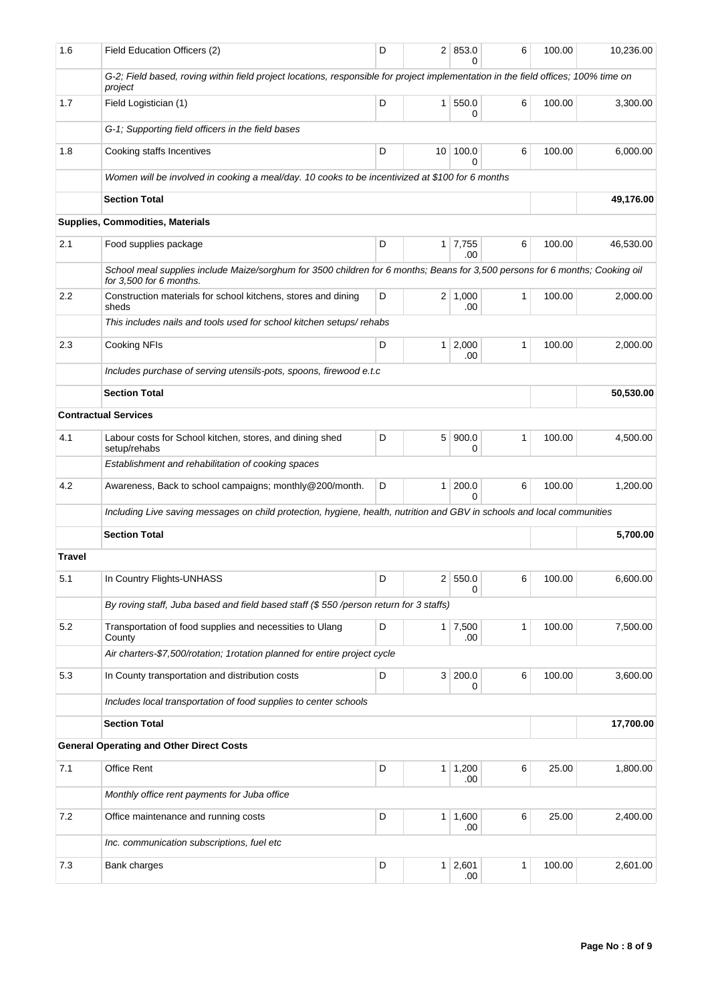| 1.6           | Field Education Officers (2)                                                                                                                            | D | 2 <sup>1</sup>  | 853.0<br>0            | 6 | 100.00 | 10,236.00 |
|---------------|---------------------------------------------------------------------------------------------------------------------------------------------------------|---|-----------------|-----------------------|---|--------|-----------|
|               | G-2; Field based, roving within field project locations, responsible for project implementation in the field offices; 100% time on<br>project           |   |                 |                       |   |        |           |
| 1.7           | Field Logistician (1)                                                                                                                                   | D | 1 <sup>1</sup>  | 550.0<br>0            | 6 | 100.00 | 3,300.00  |
|               | G-1; Supporting field officers in the field bases                                                                                                       |   |                 |                       |   |        |           |
| 1.8           | Cooking staffs Incentives                                                                                                                               | D | 10 <sup>1</sup> | 100.0<br>0            | 6 | 100.00 | 6,000.00  |
|               | Women will be involved in cooking a meal/day. 10 cooks to be incentivized at \$100 for 6 months                                                         |   |                 |                       |   |        |           |
|               | <b>Section Total</b>                                                                                                                                    |   |                 |                       |   |        | 49,176.00 |
|               | <b>Supplies, Commodities, Materials</b>                                                                                                                 |   |                 |                       |   |        |           |
| 2.1           | Food supplies package                                                                                                                                   | D | 1 <sup>1</sup>  | 7,755<br>.00          | 6 | 100.00 | 46,530.00 |
|               | School meal supplies include Maize/sorghum for 3500 children for 6 months; Beans for 3,500 persons for 6 months; Cooking oil<br>for 3,500 for 6 months. |   |                 |                       |   |        |           |
| 2.2           | Construction materials for school kitchens, stores and dining<br>sheds                                                                                  | D |                 | $2 \mid 1,000$<br>.00 | 1 | 100.00 | 2,000.00  |
|               | This includes nails and tools used for school kitchen setups/rehabs                                                                                     |   |                 |                       |   |        |           |
| 2.3           | <b>Cooking NFIs</b>                                                                                                                                     | D | $\mathbf{1}$    | 2,000<br>.00          | 1 | 100.00 | 2,000.00  |
|               | Includes purchase of serving utensils-pots, spoons, firewood e.t.c                                                                                      |   |                 |                       |   |        |           |
|               | <b>Section Total</b>                                                                                                                                    |   |                 |                       |   |        | 50,530.00 |
|               | <b>Contractual Services</b>                                                                                                                             |   |                 |                       |   |        |           |
| 4.1           | Labour costs for School kitchen, stores, and dining shed<br>setup/rehabs                                                                                | D | 5 <sup>1</sup>  | 900.0<br>0            | 1 | 100.00 | 4,500.00  |
|               | Establishment and rehabilitation of cooking spaces                                                                                                      |   |                 |                       |   |        |           |
| 4.2           | Awareness, Back to school campaigns; monthly@200/month.                                                                                                 | D | 1 <sup>1</sup>  | 200.0<br>$\Omega$     | 6 | 100.00 | 1,200.00  |
|               | Including Live saving messages on child protection, hygiene, health, nutrition and GBV in schools and local communities                                 |   |                 |                       |   |        |           |
|               | <b>Section Total</b>                                                                                                                                    |   |                 |                       |   |        | 5,700.00  |
| <b>Travel</b> |                                                                                                                                                         |   |                 |                       |   |        |           |
| 5.1           | In Country Flights-UNHASS                                                                                                                               | D |                 | 2 550.0<br>0          | 6 | 100.00 | 6,600.00  |
|               | By roving staff, Juba based and field based staff (\$550/person return for 3 staffs)                                                                    |   |                 |                       |   |        |           |
| 5.2           | Transportation of food supplies and necessities to Ulang<br>County                                                                                      | D |                 | $1 \mid 7,500$<br>.00 | 1 | 100.00 | 7,500.00  |
|               | Air charters-\$7,500/rotation; 1 rotation planned for entire project cycle                                                                              |   |                 |                       |   |        |           |
| 5.3           | In County transportation and distribution costs                                                                                                         | D |                 | 3 200.0<br>0          | 6 | 100.00 | 3,600.00  |
|               | Includes local transportation of food supplies to center schools                                                                                        |   |                 |                       |   |        |           |
|               | <b>Section Total</b>                                                                                                                                    |   | 17,700.00       |                       |   |        |           |
|               | <b>General Operating and Other Direct Costs</b>                                                                                                         |   |                 |                       |   |        |           |
| 7.1           | Office Rent                                                                                                                                             | D |                 | $1 \mid 1,200$<br>.00 | 6 | 25.00  | 1,800.00  |
|               | Monthly office rent payments for Juba office                                                                                                            |   |                 |                       |   |        |           |
| 7.2           | Office maintenance and running costs                                                                                                                    | D |                 | $1 \mid 1,600$<br>.00 | 6 | 25.00  | 2,400.00  |
|               | Inc. communication subscriptions, fuel etc                                                                                                              |   |                 |                       |   |        |           |
| 7.3           | Bank charges                                                                                                                                            | D | 1 <sup>1</sup>  | 2,601<br>.00          | 1 | 100.00 | 2,601.00  |